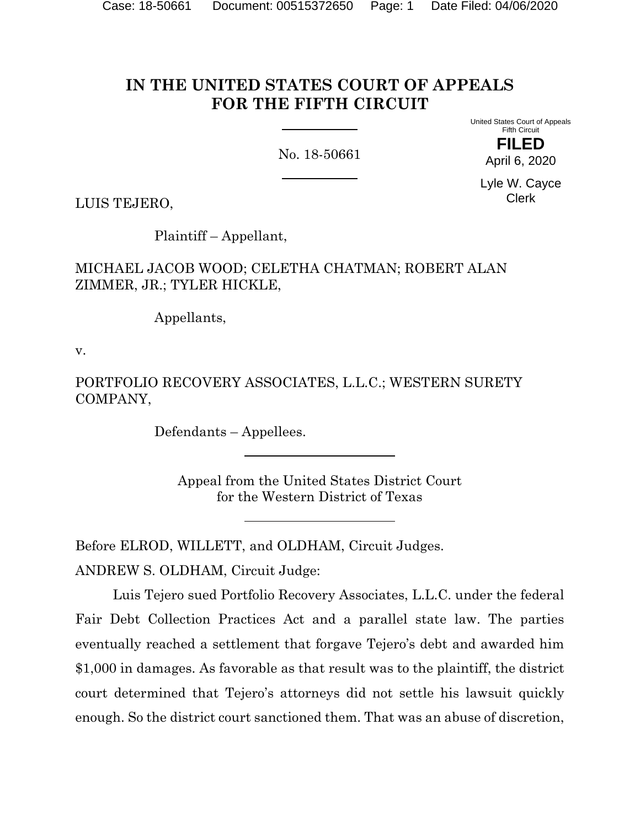# **IN THE UNITED STATES COURT OF APPEALS FOR THE FIFTH CIRCUIT**

No. 18-50661

United States Court of Appeals Fifth Circuit **FILED**

April 6, 2020

Lyle W. Cayce Clerk

LUIS TEJERO,

Plaintiff – Appellant,

MICHAEL JACOB WOOD; CELETHA CHATMAN; ROBERT ALAN ZIMMER, JR.; TYLER HICKLE,

Appellants,

v.

PORTFOLIO RECOVERY ASSOCIATES, L.L.C.; WESTERN SURETY COMPANY,

Defendants – Appellees.

Appeal from the United States District Court for the Western District of Texas

Before ELROD, WILLETT, and OLDHAM, Circuit Judges.

ANDREW S. OLDHAM, Circuit Judge:

Luis Tejero sued Portfolio Recovery Associates, L.L.C. under the federal Fair Debt Collection Practices Act and a parallel state law. The parties eventually reached a settlement that forgave Tejero's debt and awarded him \$1,000 in damages. As favorable as that result was to the plaintiff, the district court determined that Tejero's attorneys did not settle his lawsuit quickly enough. So the district court sanctioned them. That was an abuse of discretion,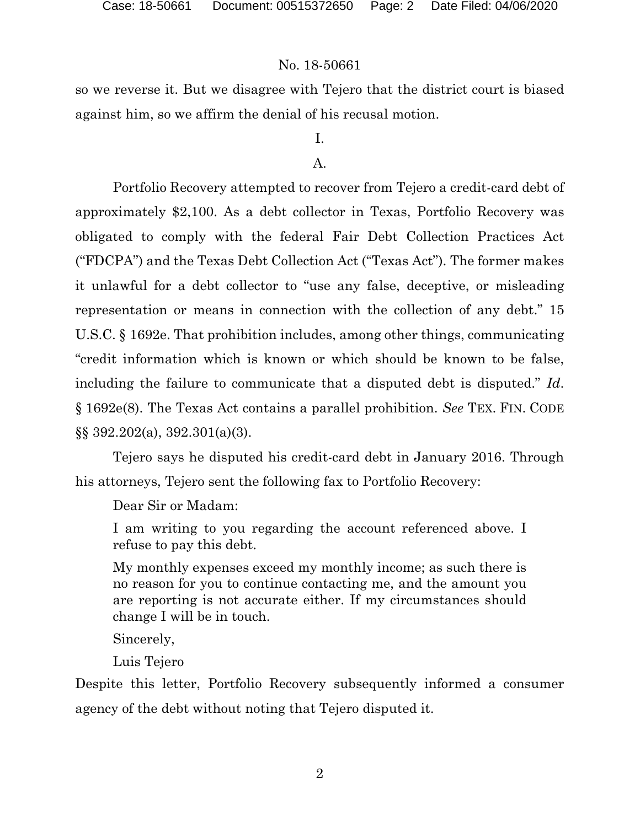so we reverse it. But we disagree with Tejero that the district court is biased against him, so we affirm the denial of his recusal motion.

# I.

# A.

Portfolio Recovery attempted to recover from Tejero a credit-card debt of approximately \$2,100. As a debt collector in Texas, Portfolio Recovery was obligated to comply with the federal Fair Debt Collection Practices Act ("FDCPA") and the Texas Debt Collection Act ("Texas Act"). The former makes it unlawful for a debt collector to "use any false, deceptive, or misleading representation or means in connection with the collection of any debt." 15 U.S.C. § 1692e. That prohibition includes, among other things, communicating "credit information which is known or which should be known to be false, including the failure to communicate that a disputed debt is disputed." *Id*. § 1692e(8). The Texas Act contains a parallel prohibition. *See* TEX. FIN. CODE §§ 392.202(a), 392.301(a)(3).

Tejero says he disputed his credit-card debt in January 2016. Through his attorneys, Tejero sent the following fax to Portfolio Recovery:

Dear Sir or Madam:

I am writing to you regarding the account referenced above. I refuse to pay this debt.

My monthly expenses exceed my monthly income; as such there is no reason for you to continue contacting me, and the amount you are reporting is not accurate either. If my circumstances should change I will be in touch.

Sincerely,

Luis Tejero

Despite this letter, Portfolio Recovery subsequently informed a consumer agency of the debt without noting that Tejero disputed it.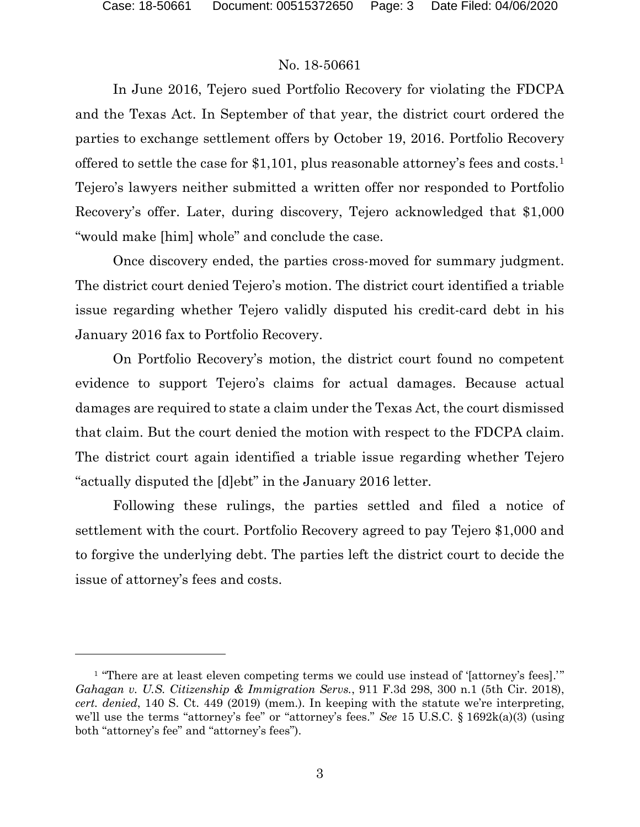In June 2016, Tejero sued Portfolio Recovery for violating the FDCPA and the Texas Act. In September of that year, the district court ordered the parties to exchange settlement offers by October 19, 2016. Portfolio Recovery offered to settle the case for \$1,101, plus reasonable attorney's fees and costs.[1](#page-2-0) Tejero's lawyers neither submitted a written offer nor responded to Portfolio Recovery's offer. Later, during discovery, Tejero acknowledged that \$1,000 "would make [him] whole" and conclude the case.

Once discovery ended, the parties cross-moved for summary judgment. The district court denied Tejero's motion. The district court identified a triable issue regarding whether Tejero validly disputed his credit-card debt in his January 2016 fax to Portfolio Recovery.

On Portfolio Recovery's motion, the district court found no competent evidence to support Tejero's claims for actual damages. Because actual damages are required to state a claim under the Texas Act, the court dismissed that claim. But the court denied the motion with respect to the FDCPA claim. The district court again identified a triable issue regarding whether Tejero "actually disputed the [d]ebt" in the January 2016 letter.

Following these rulings, the parties settled and filed a notice of settlement with the court. Portfolio Recovery agreed to pay Tejero \$1,000 and to forgive the underlying debt. The parties left the district court to decide the issue of attorney's fees and costs.

<span id="page-2-0"></span><sup>&</sup>lt;sup>1</sup> "There are at least eleven competing terms we could use instead of '[attorney's fees]." *Gahagan v. U.S. Citizenship & Immigration Servs.*, 911 F.3d 298, 300 n.1 (5th Cir. 2018), *cert. denied*, 140 S. Ct. 449 (2019) (mem.). In keeping with the statute we're interpreting, we'll use the terms "attorney's fee" or "attorney's fees." *See* 15 U.S.C. § 1692k(a)(3) (using both "attorney's fee" and "attorney's fees").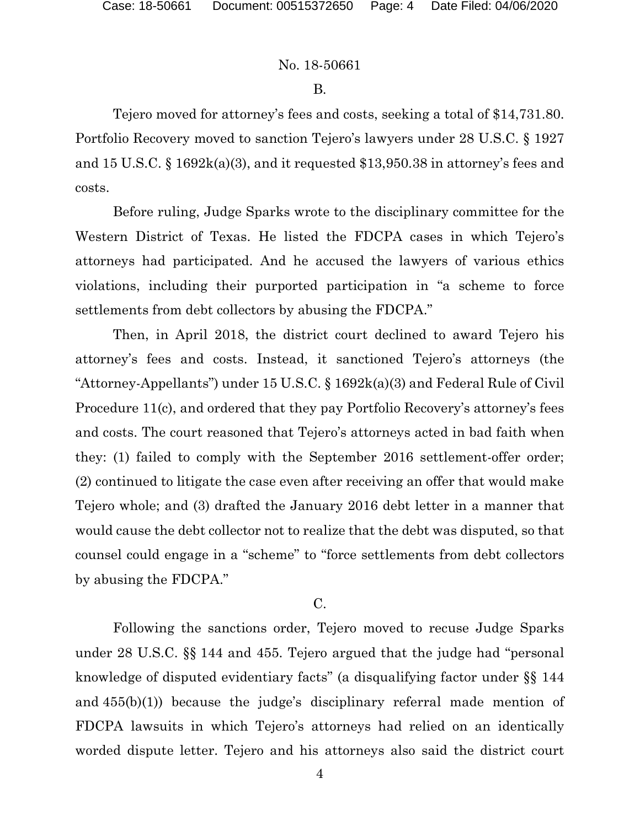## B.

Tejero moved for attorney's fees and costs, seeking a total of \$14,731.80. Portfolio Recovery moved to sanction Tejero's lawyers under 28 U.S.C. § 1927 and 15 U.S.C. § 1692k(a)(3), and it requested \$13,950.38 in attorney's fees and costs.

Before ruling, Judge Sparks wrote to the disciplinary committee for the Western District of Texas. He listed the FDCPA cases in which Tejero's attorneys had participated. And he accused the lawyers of various ethics violations, including their purported participation in "a scheme to force settlements from debt collectors by abusing the FDCPA."

Then, in April 2018, the district court declined to award Tejero his attorney's fees and costs. Instead, it sanctioned Tejero's attorneys (the "Attorney-Appellants") under 15 U.S.C. § 1692k(a)(3) and Federal Rule of Civil Procedure 11(c), and ordered that they pay Portfolio Recovery's attorney's fees and costs. The court reasoned that Tejero's attorneys acted in bad faith when they: (1) failed to comply with the September 2016 settlement-offer order; (2) continued to litigate the case even after receiving an offer that would make Tejero whole; and (3) drafted the January 2016 debt letter in a manner that would cause the debt collector not to realize that the debt was disputed, so that counsel could engage in a "scheme" to "force settlements from debt collectors by abusing the FDCPA."

# C.

Following the sanctions order, Tejero moved to recuse Judge Sparks under 28 U.S.C. §§ 144 and 455. Tejero argued that the judge had "personal knowledge of disputed evidentiary facts" (a disqualifying factor under §§ 144 and 455(b)(1)) because the judge's disciplinary referral made mention of FDCPA lawsuits in which Tejero's attorneys had relied on an identically worded dispute letter. Tejero and his attorneys also said the district court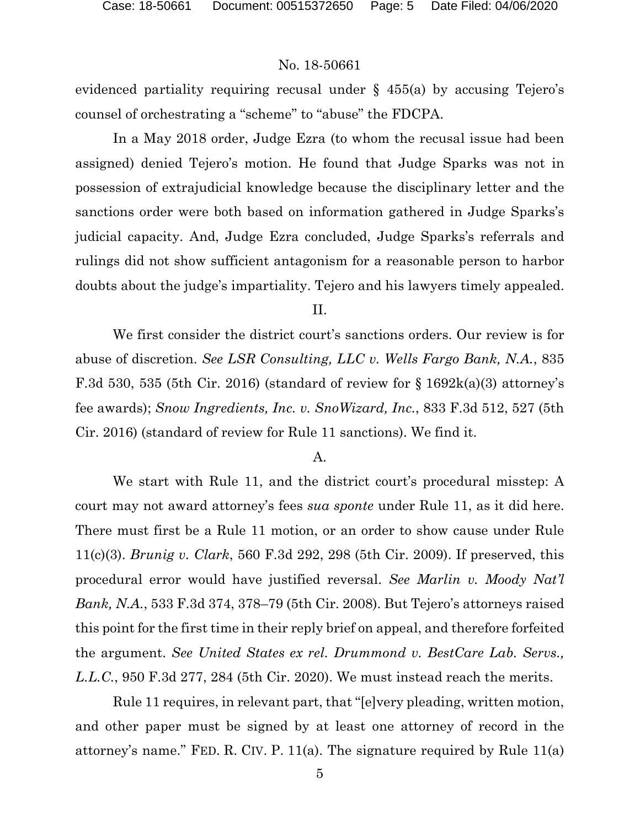evidenced partiality requiring recusal under  $\S$  455(a) by accusing Tejero's counsel of orchestrating a "scheme" to "abuse" the FDCPA.

In a May 2018 order, Judge Ezra (to whom the recusal issue had been assigned) denied Tejero's motion. He found that Judge Sparks was not in possession of extrajudicial knowledge because the disciplinary letter and the sanctions order were both based on information gathered in Judge Sparks's judicial capacity. And, Judge Ezra concluded, Judge Sparks's referrals and rulings did not show sufficient antagonism for a reasonable person to harbor doubts about the judge's impartiality. Tejero and his lawyers timely appealed.

#### II.

We first consider the district court's sanctions orders. Our review is for abuse of discretion. *See LSR Consulting, LLC v. Wells Fargo Bank, N.A.*, 835 F.3d 530, 535 (5th Cir. 2016) (standard of review for  $\S 1692k(a)(3)$  attorney's fee awards); *Snow Ingredients, Inc. v. SnoWizard, Inc.*, 833 F.3d 512, 527 (5th Cir. 2016) (standard of review for Rule 11 sanctions). We find it.

#### A.

We start with Rule 11, and the district court's procedural misstep: A court may not award attorney's fees *sua sponte* under Rule 11, as it did here. There must first be a Rule 11 motion, or an order to show cause under Rule 11(c)(3). *Brunig v. Clark*, 560 F.3d 292, 298 (5th Cir. 2009). If preserved, this procedural error would have justified reversal. *See Marlin v. Moody Nat'l Bank, N.A.*, 533 F.3d 374, 378–79 (5th Cir. 2008). But Tejero's attorneys raised this point for the first time in their reply brief on appeal, and therefore forfeited the argument. *See United States ex rel. Drummond v. BestCare Lab. Servs., L.L.C.*, 950 F.3d 277, 284 (5th Cir. 2020). We must instead reach the merits.

Rule 11 requires, in relevant part, that "[e]very pleading, written motion, and other paper must be signed by at least one attorney of record in the attorney's name." FED. R. CIV. P. 11(a). The signature required by Rule 11(a)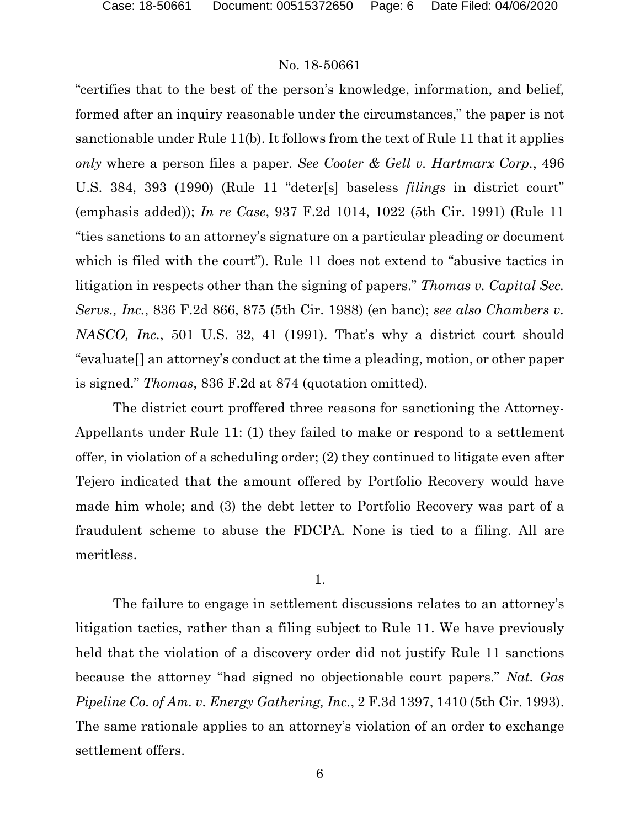"certifies that to the best of the person's knowledge, information, and belief, formed after an inquiry reasonable under the circumstances," the paper is not sanctionable under Rule 11(b). It follows from the text of Rule 11 that it applies *only* where a person files a paper. *See Cooter & Gell v. Hartmarx Corp.*, 496 U.S. 384, 393 (1990) (Rule 11 "deter[s] baseless *filings* in district court" (emphasis added)); *In re Case*, 937 F.2d 1014, 1022 (5th Cir. 1991) (Rule 11 "ties sanctions to an attorney's signature on a particular pleading or document which is filed with the court"). Rule 11 does not extend to "abusive tactics in litigation in respects other than the signing of papers." *Thomas v. Capital Sec. Servs., Inc.*, 836 F.2d 866, 875 (5th Cir. 1988) (en banc); *see also Chambers v. NASCO, Inc.*, 501 U.S. 32, 41 (1991). That's why a district court should "evaluate[] an attorney's conduct at the time a pleading, motion, or other paper is signed." *Thomas*, 836 F.2d at 874 (quotation omitted).

The district court proffered three reasons for sanctioning the Attorney-Appellants under Rule 11: (1) they failed to make or respond to a settlement offer, in violation of a scheduling order; (2) they continued to litigate even after Tejero indicated that the amount offered by Portfolio Recovery would have made him whole; and (3) the debt letter to Portfolio Recovery was part of a fraudulent scheme to abuse the FDCPA. None is tied to a filing. All are meritless.

1.

The failure to engage in settlement discussions relates to an attorney's litigation tactics, rather than a filing subject to Rule 11. We have previously held that the violation of a discovery order did not justify Rule 11 sanctions because the attorney "had signed no objectionable court papers." *Nat. Gas Pipeline Co. of Am. v. Energy Gathering, Inc.*, 2 F.3d 1397, 1410 (5th Cir. 1993). The same rationale applies to an attorney's violation of an order to exchange settlement offers.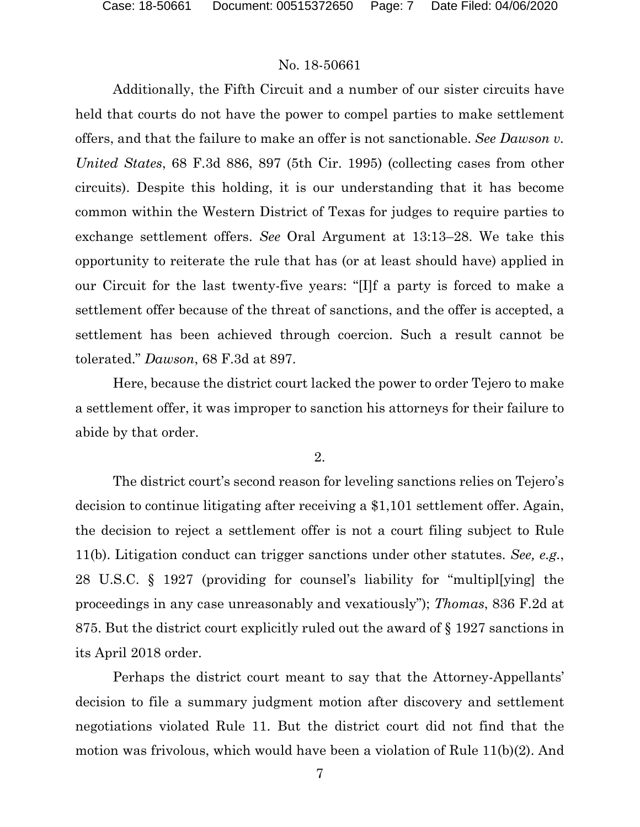Additionally, the Fifth Circuit and a number of our sister circuits have held that courts do not have the power to compel parties to make settlement offers, and that the failure to make an offer is not sanctionable. *See Dawson v. United States*, 68 F.3d 886, 897 (5th Cir. 1995) (collecting cases from other circuits). Despite this holding, it is our understanding that it has become common within the Western District of Texas for judges to require parties to exchange settlement offers. *See* Oral Argument at 13:13–28. We take this opportunity to reiterate the rule that has (or at least should have) applied in our Circuit for the last twenty-five years: "[I]f a party is forced to make a settlement offer because of the threat of sanctions, and the offer is accepted, a settlement has been achieved through coercion. Such a result cannot be tolerated." *Dawson*, 68 F.3d at 897.

Here, because the district court lacked the power to order Tejero to make a settlement offer, it was improper to sanction his attorneys for their failure to abide by that order.

2.

The district court's second reason for leveling sanctions relies on Tejero's decision to continue litigating after receiving a \$1,101 settlement offer. Again, the decision to reject a settlement offer is not a court filing subject to Rule 11(b). Litigation conduct can trigger sanctions under other statutes. *See, e.g.*, 28 U.S.C. § 1927 (providing for counsel's liability for "multipl[ying] the proceedings in any case unreasonably and vexatiously"); *Thomas*, 836 F.2d at 875. But the district court explicitly ruled out the award of § 1927 sanctions in its April 2018 order.

Perhaps the district court meant to say that the Attorney-Appellants' decision to file a summary judgment motion after discovery and settlement negotiations violated Rule 11. But the district court did not find that the motion was frivolous, which would have been a violation of Rule 11(b)(2). And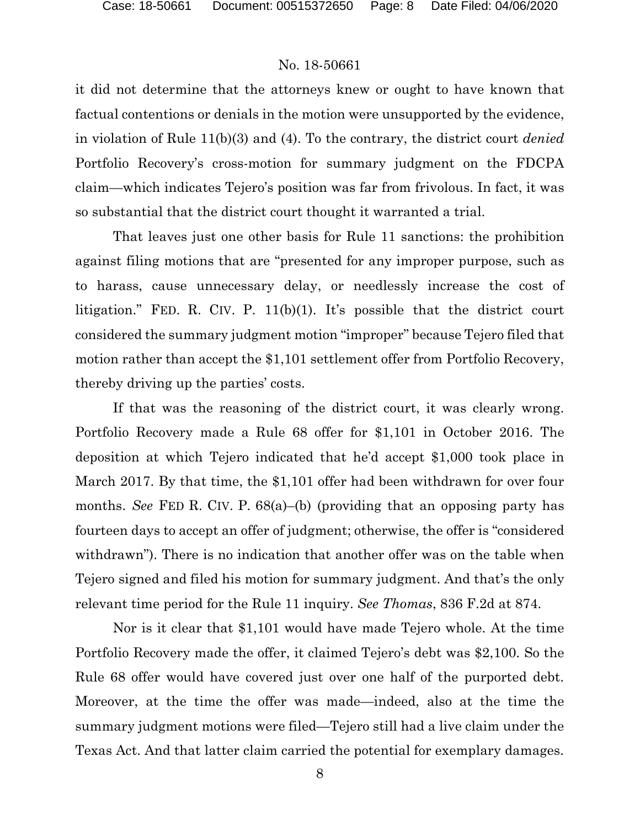it did not determine that the attorneys knew or ought to have known that factual contentions or denials in the motion were unsupported by the evidence, in violation of Rule 11(b)(3) and (4). To the contrary, the district court *denied*  Portfolio Recovery's cross-motion for summary judgment on the FDCPA claim—which indicates Tejero's position was far from frivolous. In fact, it was so substantial that the district court thought it warranted a trial.

That leaves just one other basis for Rule 11 sanctions: the prohibition against filing motions that are "presented for any improper purpose, such as to harass, cause unnecessary delay, or needlessly increase the cost of litigation." FED. R. CIV. P. 11(b)(1). It's possible that the district court considered the summary judgment motion "improper" because Tejero filed that motion rather than accept the \$1,101 settlement offer from Portfolio Recovery, thereby driving up the parties' costs.

If that was the reasoning of the district court, it was clearly wrong. Portfolio Recovery made a Rule 68 offer for \$1,101 in October 2016. The deposition at which Tejero indicated that he'd accept \$1,000 took place in March 2017. By that time, the \$1,101 offer had been withdrawn for over four months. *See* FED R. CIV. P. 68(a)–(b) (providing that an opposing party has fourteen days to accept an offer of judgment; otherwise, the offer is "considered withdrawn"). There is no indication that another offer was on the table when Tejero signed and filed his motion for summary judgment. And that's the only relevant time period for the Rule 11 inquiry. *See Thomas*, 836 F.2d at 874.

Nor is it clear that \$1,101 would have made Tejero whole. At the time Portfolio Recovery made the offer, it claimed Tejero's debt was \$2,100. So the Rule 68 offer would have covered just over one half of the purported debt. Moreover, at the time the offer was made—indeed, also at the time the summary judgment motions were filed—Tejero still had a live claim under the Texas Act. And that latter claim carried the potential for exemplary damages.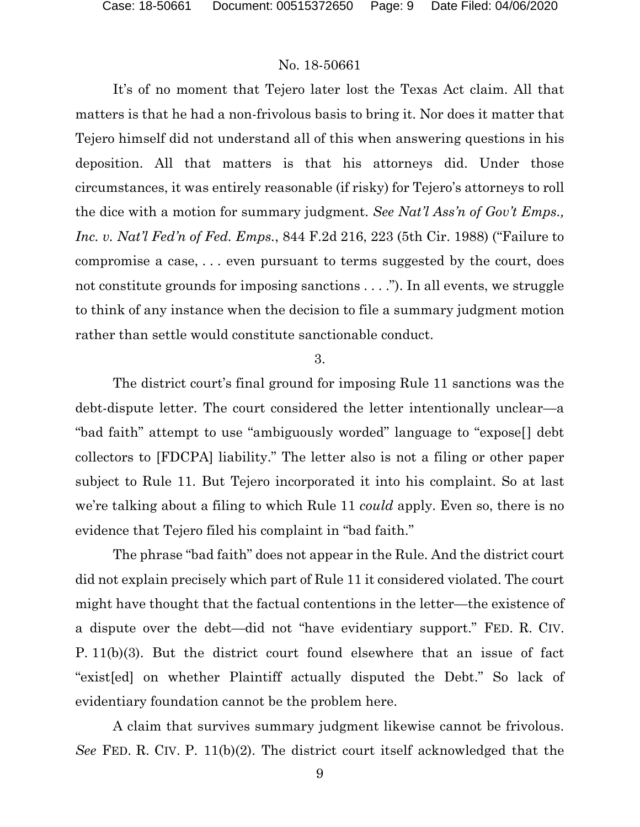It's of no moment that Tejero later lost the Texas Act claim. All that matters is that he had a non-frivolous basis to bring it. Nor does it matter that Tejero himself did not understand all of this when answering questions in his deposition. All that matters is that his attorneys did. Under those circumstances, it was entirely reasonable (if risky) for Tejero's attorneys to roll the dice with a motion for summary judgment. *See Nat'l Ass'n of Gov't Emps., Inc. v. Nat'l Fed'n of Fed. Emps.*, 844 F.2d 216, 223 (5th Cir. 1988) ("Failure to compromise a case, . . . even pursuant to terms suggested by the court, does not constitute grounds for imposing sanctions . . . ."). In all events, we struggle to think of any instance when the decision to file a summary judgment motion rather than settle would constitute sanctionable conduct.

3.

The district court's final ground for imposing Rule 11 sanctions was the debt-dispute letter. The court considered the letter intentionally unclear—a "bad faith" attempt to use "ambiguously worded" language to "expose[] debt collectors to [FDCPA] liability." The letter also is not a filing or other paper subject to Rule 11. But Tejero incorporated it into his complaint. So at last we're talking about a filing to which Rule 11 *could* apply. Even so, there is no evidence that Tejero filed his complaint in "bad faith."

The phrase "bad faith" does not appear in the Rule. And the district court did not explain precisely which part of Rule 11 it considered violated. The court might have thought that the factual contentions in the letter—the existence of a dispute over the debt—did not "have evidentiary support." FED. R. CIV. P. 11(b)(3). But the district court found elsewhere that an issue of fact "exist[ed] on whether Plaintiff actually disputed the Debt." So lack of evidentiary foundation cannot be the problem here.

A claim that survives summary judgment likewise cannot be frivolous. *See* FED. R. CIV. P. 11(b)(2). The district court itself acknowledged that the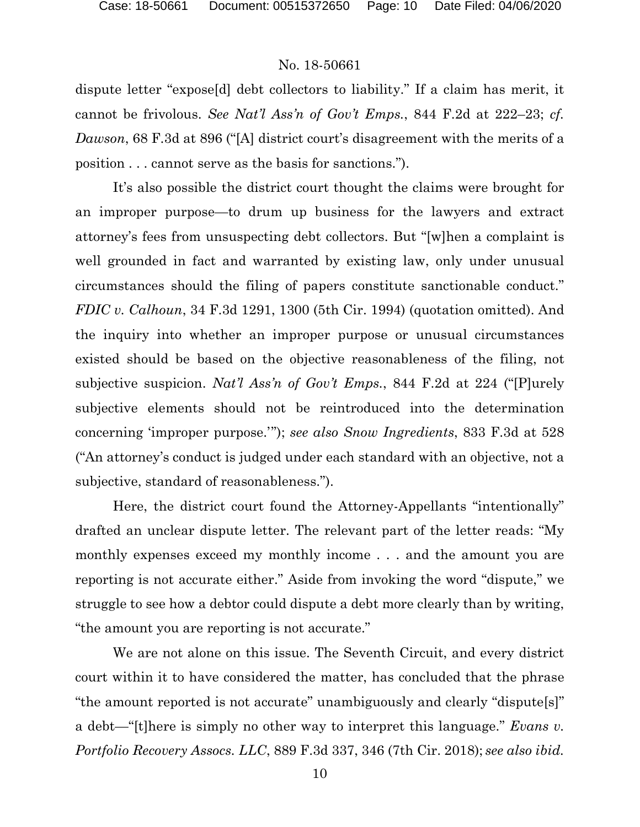dispute letter "expose[d] debt collectors to liability." If a claim has merit, it cannot be frivolous. *See Nat'l Ass'n of Gov't Emps.*, 844 F.2d at 222–23; *cf. Dawson*, 68 F.3d at 896 ("[A] district court's disagreement with the merits of a position . . . cannot serve as the basis for sanctions.").

It's also possible the district court thought the claims were brought for an improper purpose—to drum up business for the lawyers and extract attorney's fees from unsuspecting debt collectors. But "[w]hen a complaint is well grounded in fact and warranted by existing law, only under unusual circumstances should the filing of papers constitute sanctionable conduct." *FDIC v. Calhoun*, 34 F.3d 1291, 1300 (5th Cir. 1994) (quotation omitted). And the inquiry into whether an improper purpose or unusual circumstances existed should be based on the objective reasonableness of the filing, not subjective suspicion. *Nat'l Ass'n of Gov't Emps.*, 844 F.2d at 224 ("[P]urely subjective elements should not be reintroduced into the determination concerning 'improper purpose.'"); *see also Snow Ingredients*, 833 F.3d at 528 ("An attorney's conduct is judged under each standard with an objective, not a subjective, standard of reasonableness.").

Here, the district court found the Attorney-Appellants "intentionally" drafted an unclear dispute letter. The relevant part of the letter reads: "My monthly expenses exceed my monthly income . . . and the amount you are reporting is not accurate either." Aside from invoking the word "dispute," we struggle to see how a debtor could dispute a debt more clearly than by writing, "the amount you are reporting is not accurate."

We are not alone on this issue. The Seventh Circuit, and every district court within it to have considered the matter, has concluded that the phrase "the amount reported is not accurate" unambiguously and clearly "dispute[s]" a debt—"[t]here is simply no other way to interpret this language." *Evans v. Portfolio Recovery Assocs. LLC*, 889 F.3d 337, 346 (7th Cir. 2018); *see also ibid.*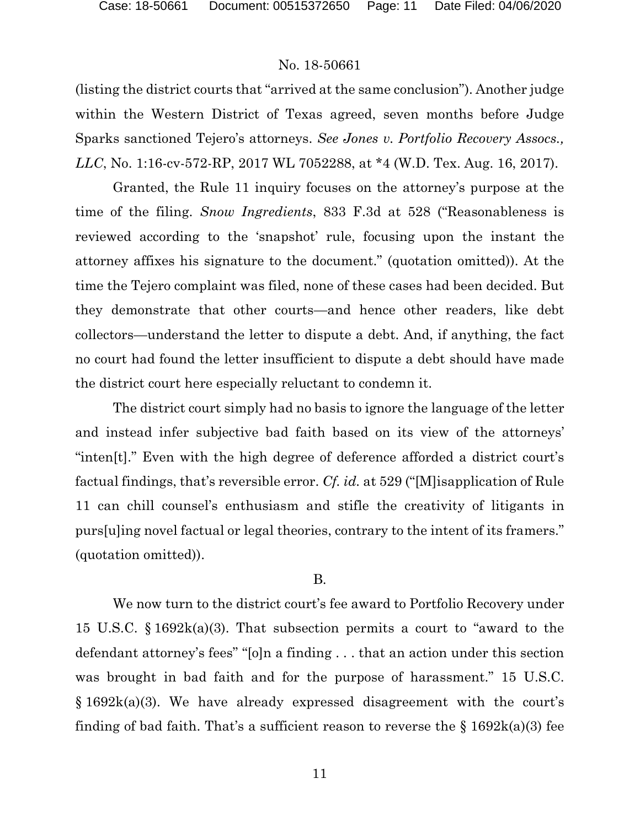(listing the district courts that "arrived at the same conclusion"). Another judge within the Western District of Texas agreed, seven months before Judge Sparks sanctioned Tejero's attorneys. *See Jones v. Portfolio Recovery Assocs., LLC*, No. 1:16-cv-572-RP, 2017 WL 7052288, at \*4 (W.D. Tex. Aug. 16, 2017).

Granted, the Rule 11 inquiry focuses on the attorney's purpose at the time of the filing. *Snow Ingredients*, 833 F.3d at 528 ("Reasonableness is reviewed according to the 'snapshot' rule, focusing upon the instant the attorney affixes his signature to the document." (quotation omitted)). At the time the Tejero complaint was filed, none of these cases had been decided. But they demonstrate that other courts—and hence other readers, like debt collectors—understand the letter to dispute a debt. And, if anything, the fact no court had found the letter insufficient to dispute a debt should have made the district court here especially reluctant to condemn it.

The district court simply had no basis to ignore the language of the letter and instead infer subjective bad faith based on its view of the attorneys' "inten[t]." Even with the high degree of deference afforded a district court's factual findings, that's reversible error. *Cf. id.* at 529 ("[M]isapplication of Rule 11 can chill counsel's enthusiasm and stifle the creativity of litigants in purs[u]ing novel factual or legal theories, contrary to the intent of its framers." (quotation omitted)).

#### B.

We now turn to the district court's fee award to Portfolio Recovery under 15 U.S.C. § 1692k(a)(3). That subsection permits a court to "award to the defendant attorney's fees" "[o]n a finding . . . that an action under this section was brought in bad faith and for the purpose of harassment." 15 U.S.C. § 1692k(a)(3). We have already expressed disagreement with the court's finding of bad faith. That's a sufficient reason to reverse the  $\S$  1692k(a)(3) fee

11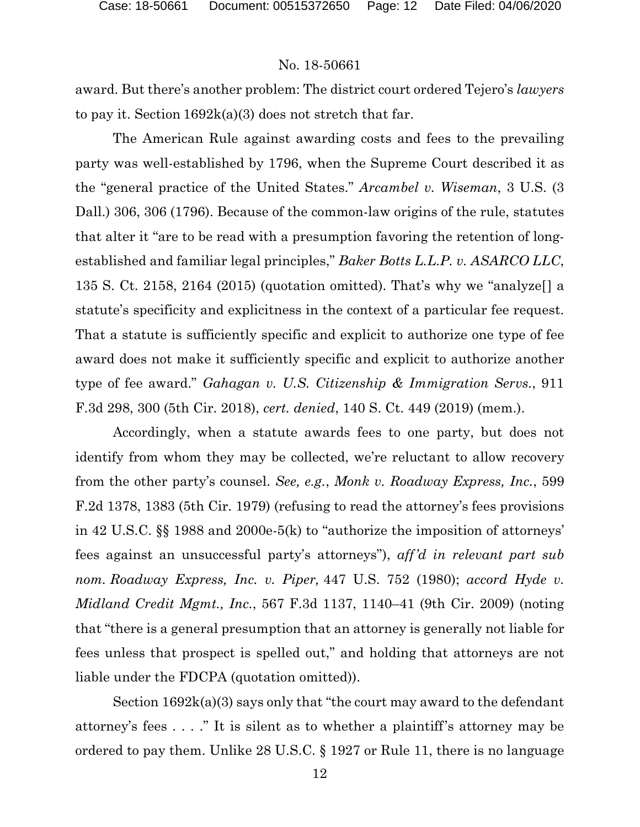award. But there's another problem: The district court ordered Tejero's *lawyers* to pay it. Section  $1692k(a)(3)$  does not stretch that far.

The American Rule against awarding costs and fees to the prevailing party was well-established by 1796, when the Supreme Court described it as the "general practice of the United States." *Arcambel v. Wiseman*, 3 U.S. (3 Dall.) 306, 306 (1796). Because of the common-law origins of the rule, statutes that alter it "are to be read with a presumption favoring the retention of longestablished and familiar legal principles," *Baker Botts L.L.P. v. ASARCO LLC*, 135 S. Ct. 2158, 2164 (2015) (quotation omitted). That's why we "analyze[] a statute's specificity and explicitness in the context of a particular fee request. That a statute is sufficiently specific and explicit to authorize one type of fee award does not make it sufficiently specific and explicit to authorize another type of fee award." *Gahagan v. U.S. Citizenship & Immigration Servs.*, 911 F.3d 298, 300 (5th Cir. 2018), *cert. denied*, 140 S. Ct. 449 (2019) (mem.).

Accordingly, when a statute awards fees to one party, but does not identify from whom they may be collected, we're reluctant to allow recovery from the other party's counsel. *See, e.g.*, *Monk v. Roadway Express, Inc.*, 599 F.2d 1378, 1383 (5th Cir. 1979) (refusing to read the attorney's fees provisions in 42 U.S.C. §§ 1988 and 2000e-5(k) to "authorize the imposition of attorneys' fees against an unsuccessful party's attorneys"), *aff'd in relevant part sub nom. Roadway Express, Inc. v. Piper,* 447 U.S. 752 (1980); *accord Hyde v. Midland Credit Mgmt., Inc.*, 567 F.3d 1137, 1140–41 (9th Cir. 2009) (noting that "there is a general presumption that an attorney is generally not liable for fees unless that prospect is spelled out," and holding that attorneys are not liable under the FDCPA (quotation omitted)).

Section 1692k(a)(3) says only that "the court may award to the defendant attorney's fees . . . ." It is silent as to whether a plaintiff's attorney may be ordered to pay them. Unlike 28 U.S.C. § 1927 or Rule 11, there is no language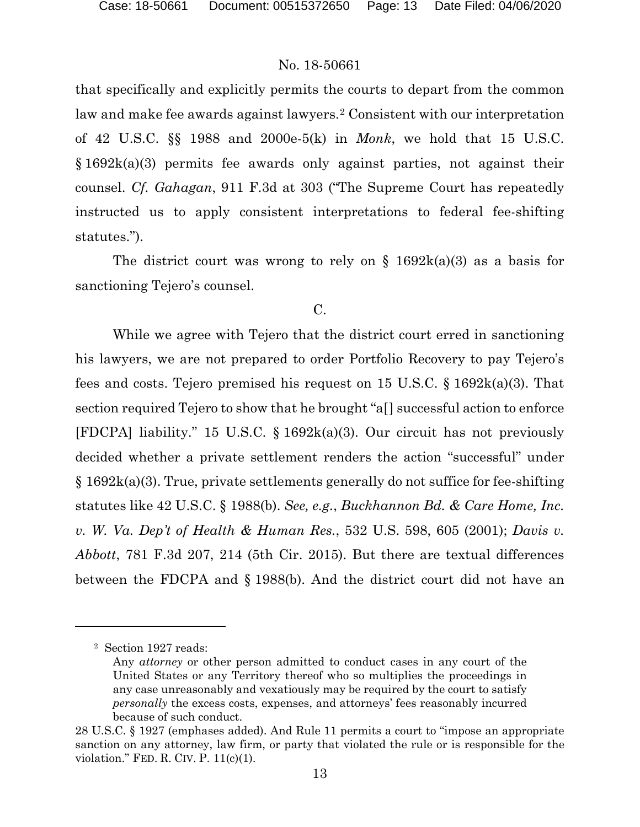that specifically and explicitly permits the courts to depart from the common law and make fee awards against lawyers.<sup>[2](#page-12-0)</sup> Consistent with our interpretation of 42 U.S.C. §§ 1988 and 2000e-5(k) in *Monk*, we hold that 15 U.S.C.  $§ 1692k(a)(3)$  permits fee awards only against parties, not against their counsel. *Cf. Gahagan*, 911 F.3d at 303 ("The Supreme Court has repeatedly instructed us to apply consistent interpretations to federal fee-shifting statutes.").

The district court was wrong to rely on  $\S$  1692k(a)(3) as a basis for sanctioning Tejero's counsel.

### C.

While we agree with Tejero that the district court erred in sanctioning his lawyers, we are not prepared to order Portfolio Recovery to pay Tejero's fees and costs. Tejero premised his request on 15 U.S.C. § 1692k(a)(3). That section required Tejero to show that he brought "a[] successful action to enforce [FDCPA] liability." 15 U.S.C. § 1692k(a)(3). Our circuit has not previously decided whether a private settlement renders the action "successful" under § 1692k(a)(3). True, private settlements generally do not suffice for fee-shifting statutes like 42 U.S.C. § 1988(b). *See, e.g.*, *Buckhannon Bd. & Care Home, Inc. v. W. Va. Dep't of Health & Human Res.*, 532 U.S. 598, 605 (2001); *Davis v. Abbott*, 781 F.3d 207, 214 (5th Cir. 2015). But there are textual differences between the FDCPA and § 1988(b). And the district court did not have an

<span id="page-12-0"></span><sup>2</sup> Section 1927 reads:

Any *attorney* or other person admitted to conduct cases in any court of the United States or any Territory thereof who so multiplies the proceedings in any case unreasonably and vexatiously may be required by the court to satisfy *personally* the excess costs, expenses, and attorneys' fees reasonably incurred because of such conduct.

<sup>28</sup> U.S.C. § 1927 (emphases added). And Rule 11 permits a court to "impose an appropriate sanction on any attorney, law firm, or party that violated the rule or is responsible for the violation." FED. R. CIV. P. 11(c)(1).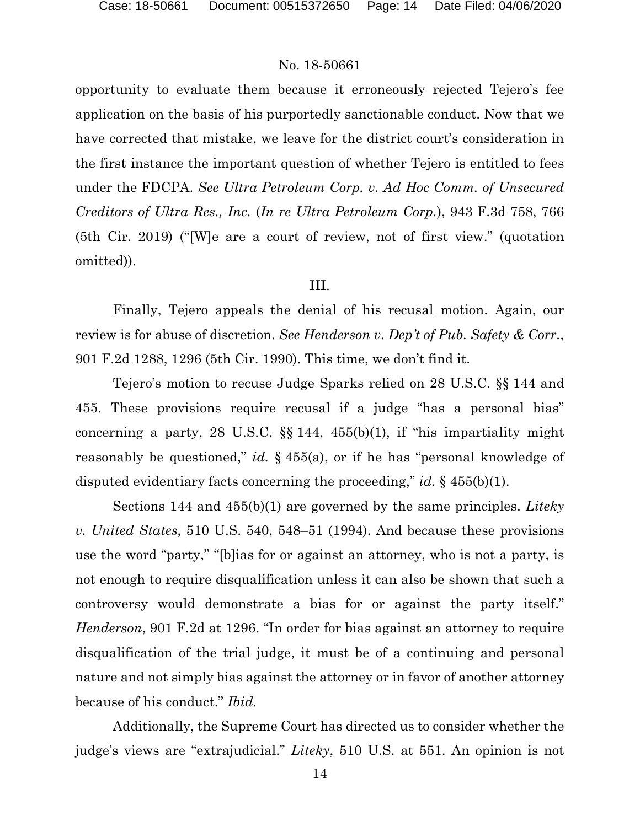opportunity to evaluate them because it erroneously rejected Tejero's fee application on the basis of his purportedly sanctionable conduct. Now that we have corrected that mistake, we leave for the district court's consideration in the first instance the important question of whether Tejero is entitled to fees under the FDCPA. *See Ultra Petroleum Corp. v. Ad Hoc Comm. of Unsecured Creditors of Ultra Res., Inc.* (*In re Ultra Petroleum Corp.*), 943 F.3d 758, 766 (5th Cir. 2019) ("[W]e are a court of review, not of first view." (quotation omitted)).

#### III.

Finally, Tejero appeals the denial of his recusal motion. Again, our review is for abuse of discretion. *See Henderson v. Dep't of Pub. Safety & Corr.*, 901 F.2d 1288, 1296 (5th Cir. 1990). This time, we don't find it.

Tejero's motion to recuse Judge Sparks relied on 28 U.S.C. §§ 144 and 455. These provisions require recusal if a judge "has a personal bias" concerning a party, 28 U.S.C. §§ 144, 455(b)(1), if "his impartiality might reasonably be questioned," *id.* § 455(a), or if he has "personal knowledge of disputed evidentiary facts concerning the proceeding," *id.* § 455(b)(1).

Sections 144 and 455(b)(1) are governed by the same principles. *Liteky v. United States*, 510 U.S. 540, 548–51 (1994). And because these provisions use the word "party," "[b]ias for or against an attorney, who is not a party, is not enough to require disqualification unless it can also be shown that such a controversy would demonstrate a bias for or against the party itself." *Henderson*, 901 F.2d at 1296. "In order for bias against an attorney to require disqualification of the trial judge, it must be of a continuing and personal nature and not simply bias against the attorney or in favor of another attorney because of his conduct." *Ibid.*

Additionally, the Supreme Court has directed us to consider whether the judge's views are "extrajudicial." *Liteky*, 510 U.S. at 551. An opinion is not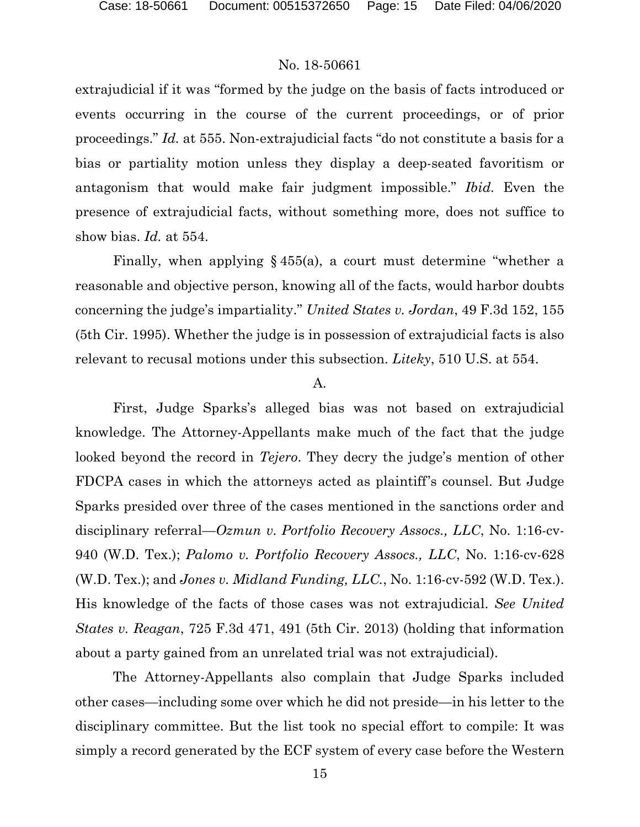extrajudicial if it was "formed by the judge on the basis of facts introduced or events occurring in the course of the current proceedings, or of prior proceedings." *Id.* at 555. Non-extrajudicial facts "do not constitute a basis for a bias or partiality motion unless they display a deep-seated favoritism or antagonism that would make fair judgment impossible." *Ibid.* Even the presence of extrajudicial facts, without something more, does not suffice to show bias. *Id.* at 554.

Finally, when applying  $\S 455(a)$ , a court must determine "whether a reasonable and objective person, knowing all of the facts, would harbor doubts concerning the judge's impartiality." *United States v. Jordan*, 49 F.3d 152, 155 (5th Cir. 1995). Whether the judge is in possession of extrajudicial facts is also relevant to recusal motions under this subsection. *Liteky*, 510 U.S. at 554.

#### A.

First, Judge Sparks's alleged bias was not based on extrajudicial knowledge. The Attorney-Appellants make much of the fact that the judge looked beyond the record in *Tejero*. They decry the judge's mention of other FDCPA cases in which the attorneys acted as plaintiff's counsel. But Judge Sparks presided over three of the cases mentioned in the sanctions order and disciplinary referral—*Ozmun v. Portfolio Recovery Assocs., LLC*, No. 1:16-cv-940 (W.D. Tex.); *Palomo v. Portfolio Recovery Assocs., LLC*, No. 1:16-cv-628 (W.D. Tex.); and *Jones v. Midland Funding, LLC.*, No. 1:16-cv-592 (W.D. Tex.). His knowledge of the facts of those cases was not extrajudicial. *See United States v. Reagan*, 725 F.3d 471, 491 (5th Cir. 2013) (holding that information about a party gained from an unrelated trial was not extrajudicial).

The Attorney-Appellants also complain that Judge Sparks included other cases—including some over which he did not preside—in his letter to the disciplinary committee. But the list took no special effort to compile: It was simply a record generated by the ECF system of every case before the Western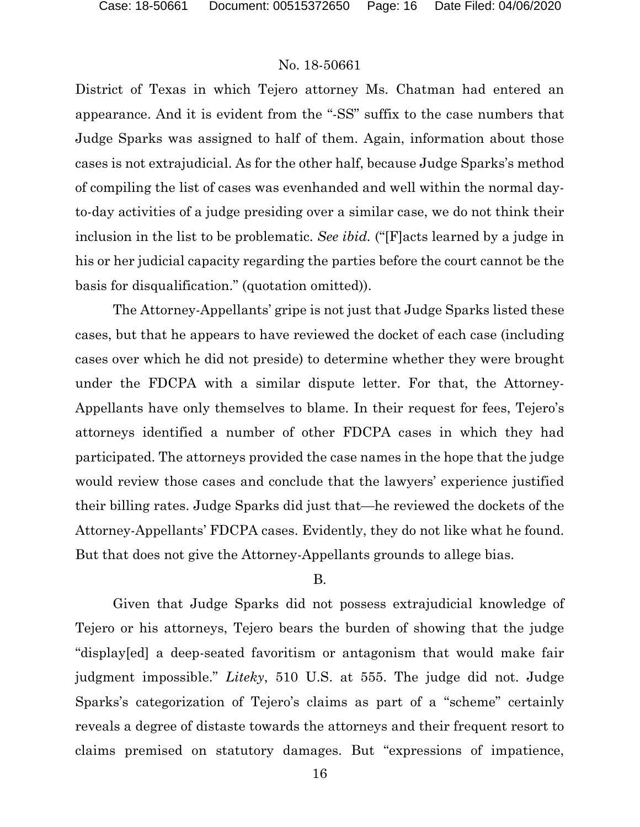District of Texas in which Tejero attorney Ms. Chatman had entered an appearance. And it is evident from the "-SS" suffix to the case numbers that Judge Sparks was assigned to half of them. Again, information about those cases is not extrajudicial. As for the other half, because Judge Sparks's method of compiling the list of cases was evenhanded and well within the normal dayto-day activities of a judge presiding over a similar case, we do not think their inclusion in the list to be problematic. *See ibid.* ("[F]acts learned by a judge in his or her judicial capacity regarding the parties before the court cannot be the basis for disqualification." (quotation omitted)).

The Attorney-Appellants' gripe is not just that Judge Sparks listed these cases, but that he appears to have reviewed the docket of each case (including cases over which he did not preside) to determine whether they were brought under the FDCPA with a similar dispute letter. For that, the Attorney-Appellants have only themselves to blame. In their request for fees, Tejero's attorneys identified a number of other FDCPA cases in which they had participated. The attorneys provided the case names in the hope that the judge would review those cases and conclude that the lawyers' experience justified their billing rates. Judge Sparks did just that—he reviewed the dockets of the Attorney-Appellants' FDCPA cases. Evidently, they do not like what he found. But that does not give the Attorney-Appellants grounds to allege bias.

#### B.

Given that Judge Sparks did not possess extrajudicial knowledge of Tejero or his attorneys, Tejero bears the burden of showing that the judge "display[ed] a deep-seated favoritism or antagonism that would make fair judgment impossible." *Liteky*, 510 U.S. at 555. The judge did not. Judge Sparks's categorization of Tejero's claims as part of a "scheme" certainly reveals a degree of distaste towards the attorneys and their frequent resort to claims premised on statutory damages. But "expressions of impatience,